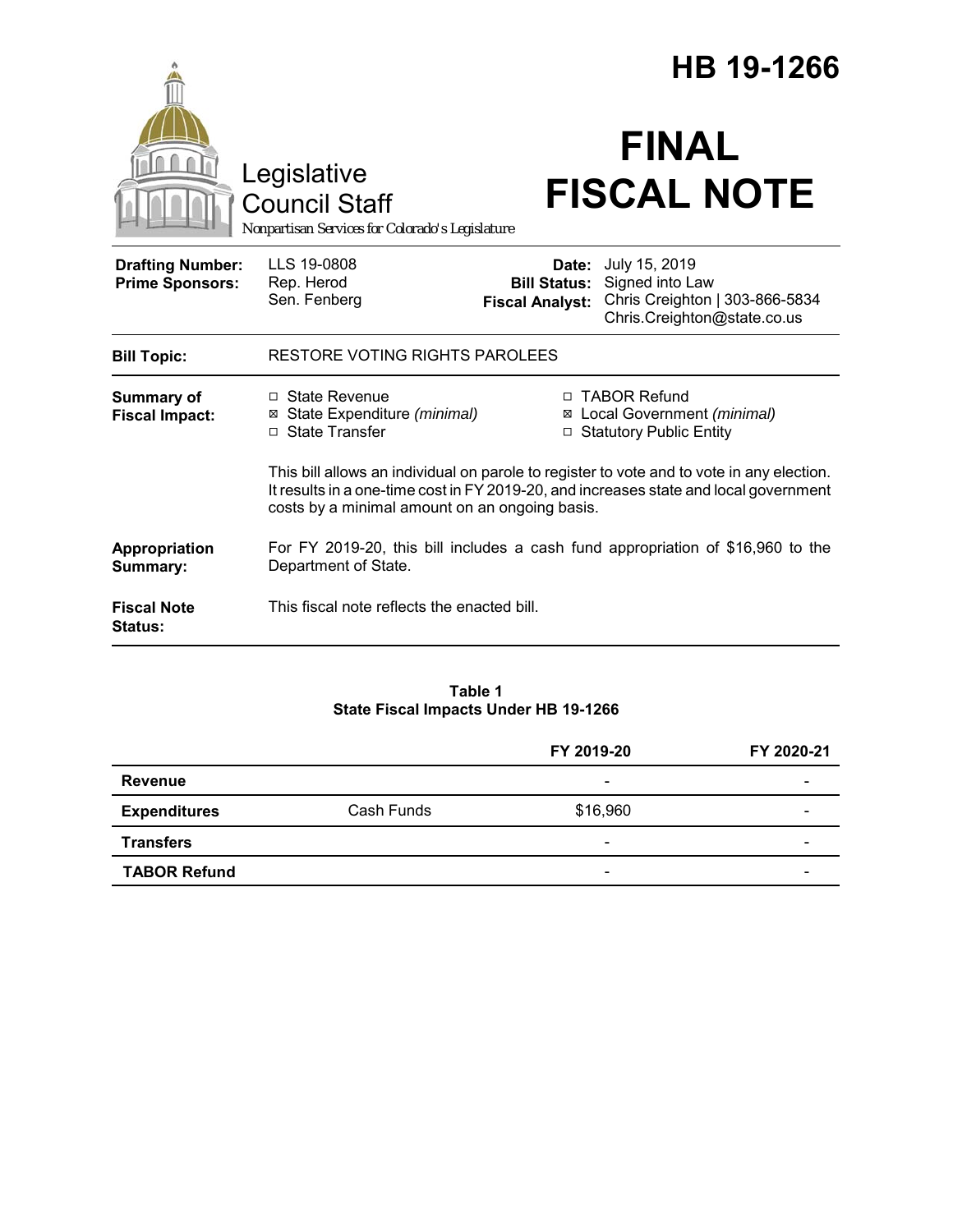|                                                   |                                                                                                                                                                                                                                      |                                                        | HB 19-1266                                                                                        |  |
|---------------------------------------------------|--------------------------------------------------------------------------------------------------------------------------------------------------------------------------------------------------------------------------------------|--------------------------------------------------------|---------------------------------------------------------------------------------------------------|--|
|                                                   | Legislative<br><b>Council Staff</b><br>Nonpartisan Services for Colorado's Legislature                                                                                                                                               |                                                        | <b>FINAL</b><br><b>FISCAL NOTE</b>                                                                |  |
| <b>Drafting Number:</b><br><b>Prime Sponsors:</b> | LLS 19-0808<br>Rep. Herod<br>Sen. Fenberg                                                                                                                                                                                            | Date:<br><b>Bill Status:</b><br><b>Fiscal Analyst:</b> | July 15, 2019<br>Signed into Law<br>Chris Creighton   303-866-5834<br>Chris.Creighton@state.co.us |  |
| <b>Bill Topic:</b>                                | <b>RESTORE VOTING RIGHTS PAROLEES</b>                                                                                                                                                                                                |                                                        |                                                                                                   |  |
| <b>Summary of</b><br><b>Fiscal Impact:</b>        | $\Box$ State Revenue<br>⊠ State Expenditure (minimal)<br>$\Box$ State Transfer                                                                                                                                                       |                                                        | □ TABOR Refund<br>⊠ Local Government (minimal)<br>□ Statutory Public Entity                       |  |
|                                                   | This bill allows an individual on parole to register to vote and to vote in any election.<br>It results in a one-time cost in FY 2019-20, and increases state and local government<br>costs by a minimal amount on an ongoing basis. |                                                        |                                                                                                   |  |
| Appropriation<br>Summary:                         | For FY 2019-20, this bill includes a cash fund appropriation of \$16,960 to the<br>Department of State.                                                                                                                              |                                                        |                                                                                                   |  |
| <b>Fiscal Note</b><br><b>Status:</b>              | This fiscal note reflects the enacted bill.                                                                                                                                                                                          |                                                        |                                                                                                   |  |

#### **Table 1 State Fiscal Impacts Under HB 19-1266**

|                     |            | FY 2019-20               | FY 2020-21 |
|---------------------|------------|--------------------------|------------|
| Revenue             |            | $\overline{\phantom{a}}$ |            |
| <b>Expenditures</b> | Cash Funds | \$16,960                 |            |
| <b>Transfers</b>    |            | $\overline{\phantom{a}}$ | -          |
| <b>TABOR Refund</b> |            | $\overline{\phantom{a}}$ | -          |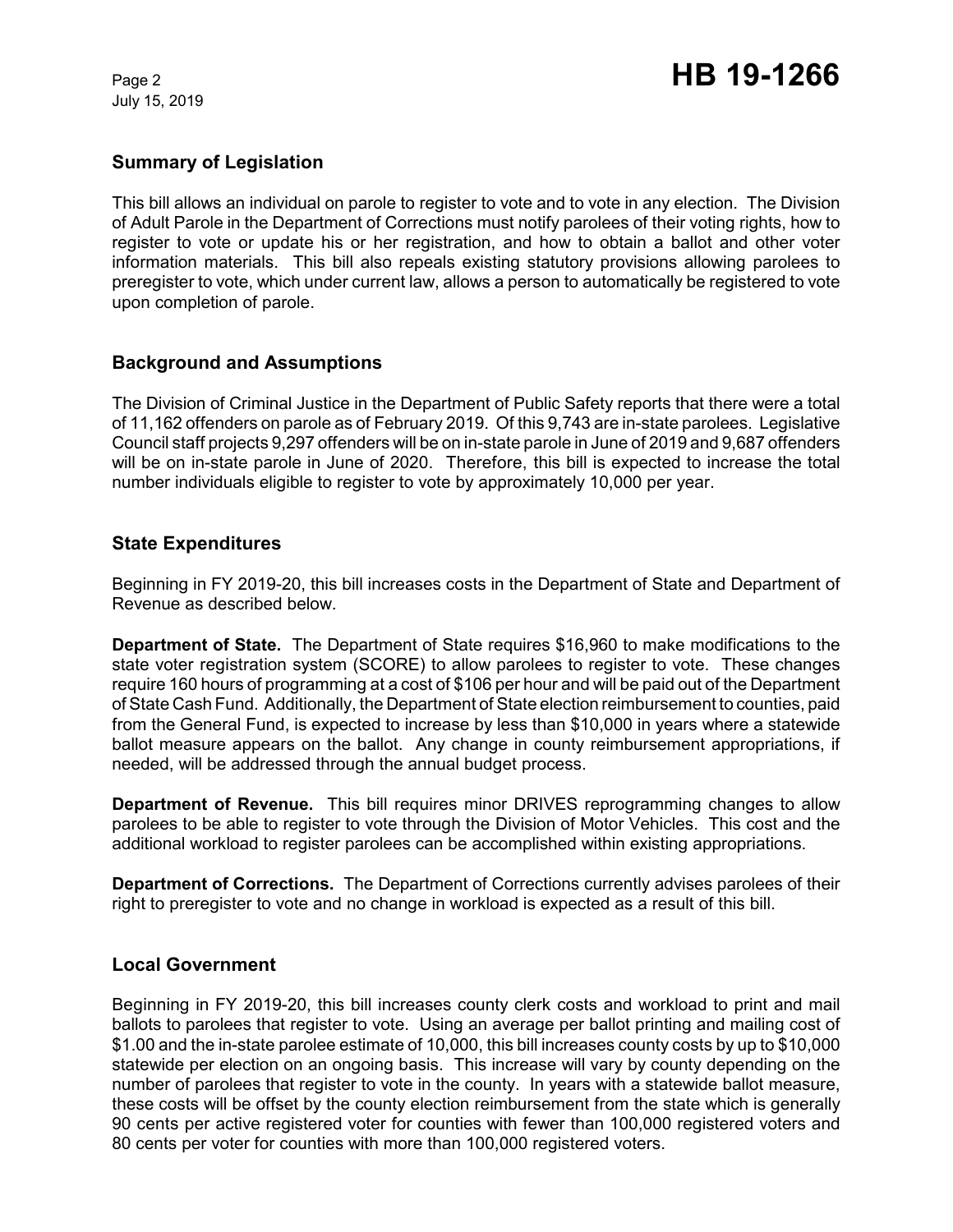July 15, 2019

# **Summary of Legislation**

This bill allows an individual on parole to register to vote and to vote in any election. The Division of Adult Parole in the Department of Corrections must notify parolees of their voting rights, how to register to vote or update his or her registration, and how to obtain a ballot and other voter information materials. This bill also repeals existing statutory provisions allowing parolees to preregister to vote, which under current law, allows a person to automatically be registered to vote upon completion of parole.

## **Background and Assumptions**

The Division of Criminal Justice in the Department of Public Safety reports that there were a total of 11,162 offenders on parole as of February 2019. Of this 9,743 are in-state parolees. Legislative Council staff projects 9,297 offenders will be on in-state parole in June of 2019 and 9,687 offenders will be on in-state parole in June of 2020. Therefore, this bill is expected to increase the total number individuals eligible to register to vote by approximately 10,000 per year.

### **State Expenditures**

Beginning in FY 2019-20, this bill increases costs in the Department of State and Department of Revenue as described below.

**Department of State.** The Department of State requires \$16,960 to make modifications to the state voter registration system (SCORE) to allow parolees to register to vote. These changes require 160 hours of programming at a cost of \$106 per hour and will be paid out of the Department of State Cash Fund. Additionally, the Department of State election reimbursement to counties, paid from the General Fund, is expected to increase by less than \$10,000 in years where a statewide ballot measure appears on the ballot. Any change in county reimbursement appropriations, if needed, will be addressed through the annual budget process.

**Department of Revenue.** This bill requires minor DRIVES reprogramming changes to allow parolees to be able to register to vote through the Division of Motor Vehicles. This cost and the additional workload to register parolees can be accomplished within existing appropriations.

**Department of Corrections.** The Department of Corrections currently advises parolees of their right to preregister to vote and no change in workload is expected as a result of this bill.

### **Local Government**

Beginning in FY 2019-20, this bill increases county clerk costs and workload to print and mail ballots to parolees that register to vote. Using an average per ballot printing and mailing cost of \$1.00 and the in-state parolee estimate of 10,000, this bill increases county costs by up to \$10,000 statewide per election on an ongoing basis. This increase will vary by county depending on the number of parolees that register to vote in the county. In years with a statewide ballot measure, these costs will be offset by the county election reimbursement from the state which is generally 90 cents per active registered voter for counties with fewer than 100,000 registered voters and 80 cents per voter for counties with more than 100,000 registered voters.